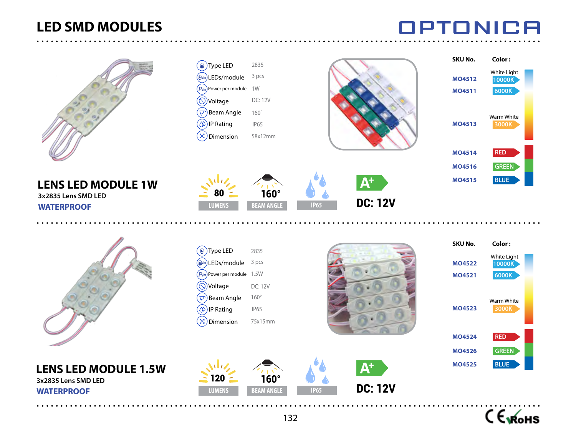# **LED SMD MODULES**

OPTONICA



C EVROHS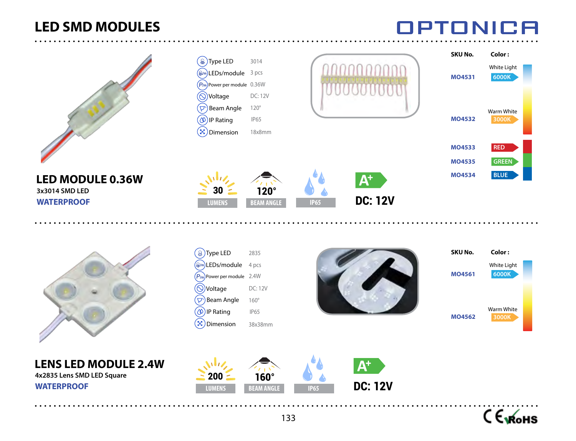# **LED SMD MODULES**

**OPTONICA** 



C Exforms